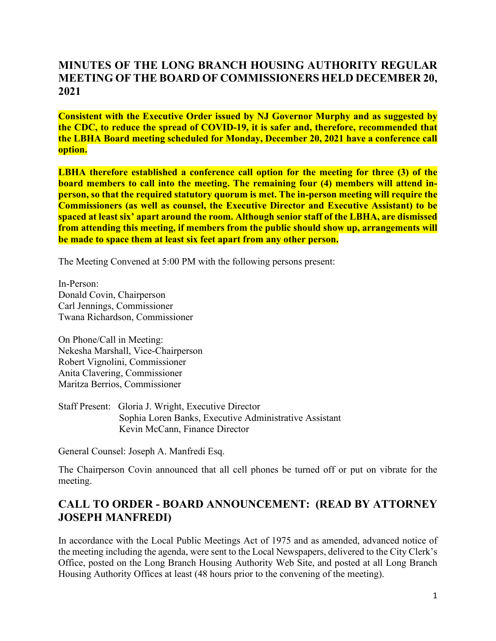### **MINUTES OF THE LONG BRANCH HOUSING AUTHORITY REGULAR MEETING OF THE BOARD OF COMMISSIONERS HELD DECEMBER 20, 2021**

**Consistent with the Executive Order issued by NJ Governor Murphy and as suggested by the CDC, to reduce the spread of COVID-19, it is safer and, therefore, recommended that the LBHA Board meeting scheduled for Monday, December 20, 2021 have a conference call option.** 

**LBHA therefore established a conference call option for the meeting for three (3) of the board members to call into the meeting. The remaining four (4) members will attend inperson, so that the required statutory quorum is met. The in-person meeting will require the Commissioners (as well as counsel, the Executive Director and Executive Assistant) to be spaced at least six' apart around the room. Although senior staff of the LBHA, are dismissed from attending this meeting, if members from the public should show up, arrangements will be made to space them at least six feet apart from any other person.** 

The Meeting Convened at 5:00 PM with the following persons present:

In-Person: Donald Covin, Chairperson Carl Jennings, Commissioner Twana Richardson, Commissioner

On Phone/Call in Meeting: Nekesha Marshall, Vice-Chairperson Robert Vignolini, Commissioner Anita Clavering, Commissioner Maritza Berrios, Commissioner

Staff Present: Gloria J. Wright, Executive Director Sophia Loren Banks, Executive Administrative Assistant Kevin McCann, Finance Director

General Counsel: Joseph A. Manfredi Esq.

The Chairperson Covin announced that all cell phones be turned off or put on vibrate for the meeting.

### **CALL TO ORDER - BOARD ANNOUNCEMENT: (READ BY ATTORNEY JOSEPH MANFREDI)**

In accordance with the Local Public Meetings Act of 1975 and as amended, advanced notice of the meeting including the agenda, were sent to the Local Newspapers, delivered to the City Clerk's Office, posted on the Long Branch Housing Authority Web Site, and posted at all Long Branch Housing Authority Offices at least (48 hours prior to the convening of the meeting).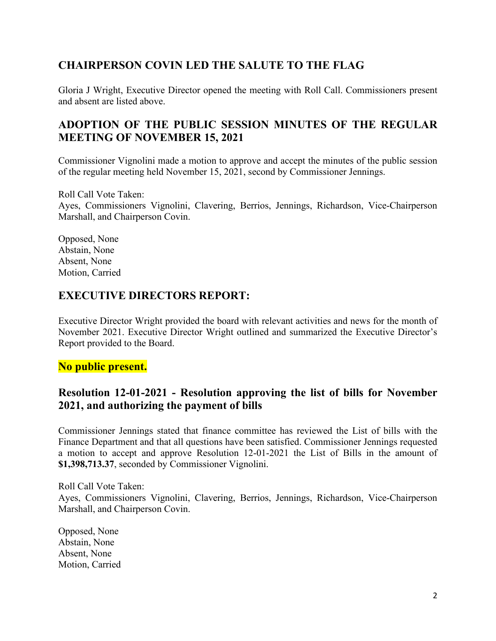## **CHAIRPERSON COVIN LED THE SALUTE TO THE FLAG**

Gloria J Wright, Executive Director opened the meeting with Roll Call. Commissioners present and absent are listed above.

### **ADOPTION OF THE PUBLIC SESSION MINUTES OF THE REGULAR MEETING OF NOVEMBER 15, 2021**

Commissioner Vignolini made a motion to approve and accept the minutes of the public session of the regular meeting held November 15, 2021, second by Commissioner Jennings.

Roll Call Vote Taken:

Ayes, Commissioners Vignolini, Clavering, Berrios, Jennings, Richardson, Vice-Chairperson Marshall, and Chairperson Covin.

Opposed, None Abstain, None Absent, None Motion, Carried

#### **EXECUTIVE DIRECTORS REPORT:**

Executive Director Wright provided the board with relevant activities and news for the month of November 2021. Executive Director Wright outlined and summarized the Executive Director's Report provided to the Board.

#### **No public present.**

#### **Resolution 12-01-2021 - Resolution approving the list of bills for November 2021, and authorizing the payment of bills**

Commissioner Jennings stated that finance committee has reviewed the List of bills with the Finance Department and that all questions have been satisfied. Commissioner Jennings requested a motion to accept and approve Resolution 12-01-2021 the List of Bills in the amount of **\$1,398,713.37**, seconded by Commissioner Vignolini.

Roll Call Vote Taken: Ayes, Commissioners Vignolini, Clavering, Berrios, Jennings, Richardson, Vice-Chairperson Marshall, and Chairperson Covin.

Opposed, None Abstain, None Absent, None Motion, Carried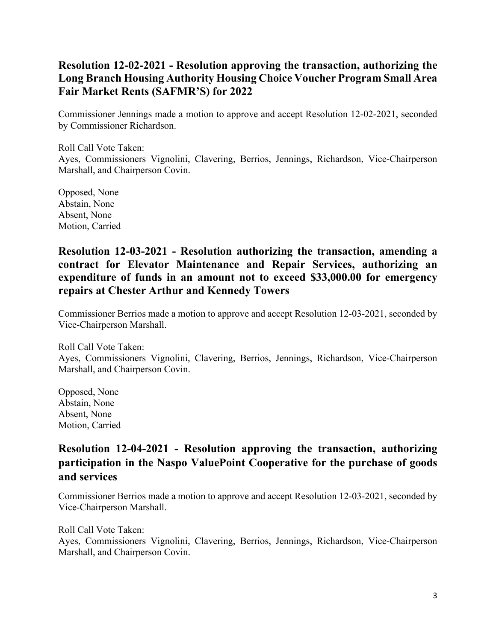## **Resolution 12-02-2021 - Resolution approving the transaction, authorizing the Long Branch Housing Authority Housing Choice Voucher Program Small Area Fair Market Rents (SAFMR'S) for 2022**

Commissioner Jennings made a motion to approve and accept Resolution 12-02-2021, seconded by Commissioner Richardson.

Roll Call Vote Taken: Ayes, Commissioners Vignolini, Clavering, Berrios, Jennings, Richardson, Vice-Chairperson Marshall, and Chairperson Covin.

Opposed, None Abstain, None Absent, None Motion, Carried

#### **Resolution 12-03-2021 - Resolution authorizing the transaction, amending a contract for Elevator Maintenance and Repair Services, authorizing an expenditure of funds in an amount not to exceed \$33,000.00 for emergency repairs at Chester Arthur and Kennedy Towers**

Commissioner Berrios made a motion to approve and accept Resolution 12-03-2021, seconded by Vice-Chairperson Marshall.

Roll Call Vote Taken: Ayes, Commissioners Vignolini, Clavering, Berrios, Jennings, Richardson, Vice-Chairperson Marshall, and Chairperson Covin.

Opposed, None Abstain, None Absent, None Motion, Carried

# **Resolution 12-04-2021 - Resolution approving the transaction, authorizing participation in the Naspo ValuePoint Cooperative for the purchase of goods and services**

Commissioner Berrios made a motion to approve and accept Resolution 12-03-2021, seconded by Vice-Chairperson Marshall.

Roll Call Vote Taken:

Ayes, Commissioners Vignolini, Clavering, Berrios, Jennings, Richardson, Vice-Chairperson Marshall, and Chairperson Covin.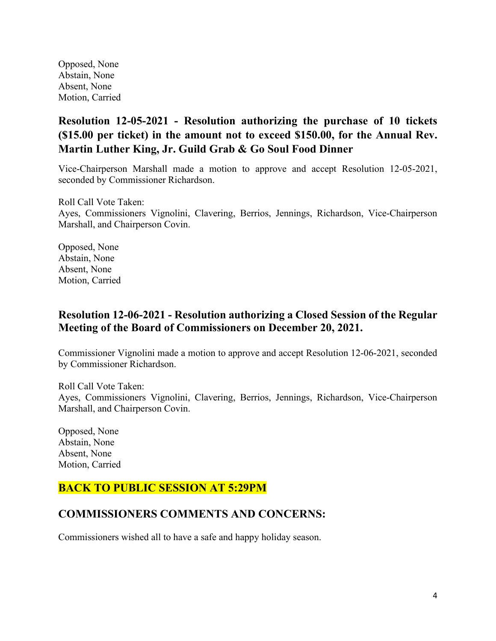Opposed, None Abstain, None Absent, None Motion, Carried

# **Resolution 12-05-2021 - Resolution authorizing the purchase of 10 tickets (\$15.00 per ticket) in the amount not to exceed \$150.00, for the Annual Rev. Martin Luther King, Jr. Guild Grab & Go Soul Food Dinner**

Vice-Chairperson Marshall made a motion to approve and accept Resolution 12-05-2021, seconded by Commissioner Richardson.

Roll Call Vote Taken: Ayes, Commissioners Vignolini, Clavering, Berrios, Jennings, Richardson, Vice-Chairperson Marshall, and Chairperson Covin.

Opposed, None Abstain, None Absent, None Motion, Carried

#### **Resolution 12-06-2021 - Resolution authorizing a Closed Session of the Regular Meeting of the Board of Commissioners on December 20, 2021.**

Commissioner Vignolini made a motion to approve and accept Resolution 12-06-2021, seconded by Commissioner Richardson.

Roll Call Vote Taken: Ayes, Commissioners Vignolini, Clavering, Berrios, Jennings, Richardson, Vice-Chairperson Marshall, and Chairperson Covin.

Opposed, None Abstain, None Absent, None Motion, Carried

## **BACK TO PUBLIC SESSION AT 5:29PM**

#### **COMMISSIONERS COMMENTS AND CONCERNS:**

Commissioners wished all to have a safe and happy holiday season.